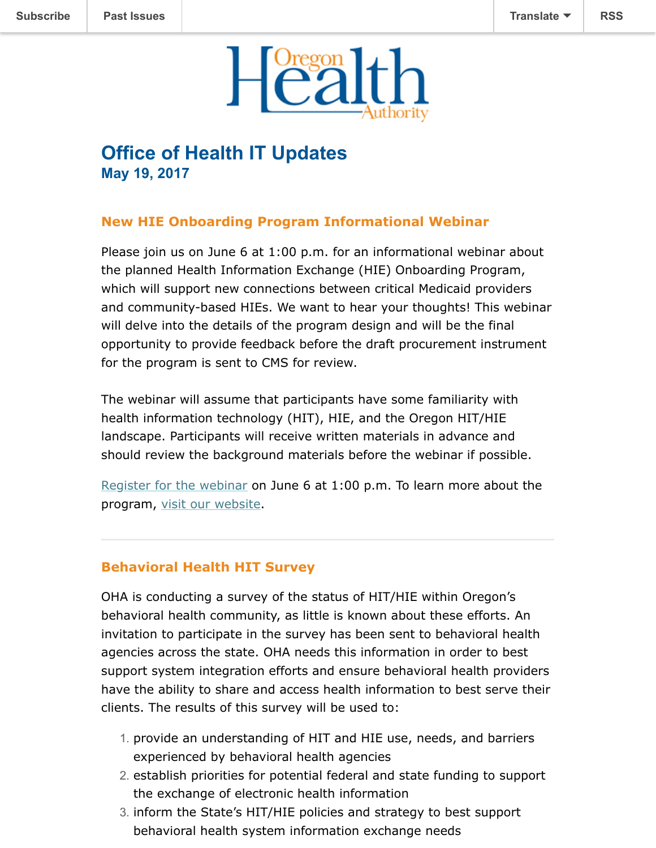

# **Office of Health IT Updates May 19, 2017**

## **New HIE Onboarding Program Informational Webinar**

Please join us on June 6 at 1:00 p.m. for an informational webinar about the planned Health Information Exchange (HIE) Onboarding Program, which will support new connections between critical Medicaid providers and community-based HIEs. We want to hear your thoughts! This webinar will delve into the details of the program design and will be the final opportunity to provide feedback before the draft procurement instrument for the program is sent to CMS for review.

The webinar will assume that participants have some familiarity with health information technology (HIT), HIE, and the Oregon HIT/HIE landscape. Participants will receive written materials in advance and should review the background materials before the webinar if possible.

[Register for the webinar](https://attendee.gotowebinar.com/register/659852493826649603) on June 6 at 1:00 p.m. To learn more about the program, [visit our website](https://www.oregon.gov/oha/OHIT/Pages/HIE-onboarding.aspx).

## **Behavioral Health HIT Survey**

OHA is conducting a survey of the status of HIT/HIE within Oregon's behavioral health community, as little is known about these efforts. An invitation to participate in the survey has been sent to behavioral health agencies across the state. OHA needs this information in order to best support system integration efforts and ensure behavioral health providers have the ability to share and access health information to best serve their clients. The results of this survey will be used to:

- 1. provide an understanding of HIT and HIE use, needs, and barriers experienced by behavioral health agencies
- 2. establish priorities for potential federal and state funding to support the exchange of electronic health information
- 3. inform the State's HIT/HIE policies and strategy to best support behavioral health system information exchange needs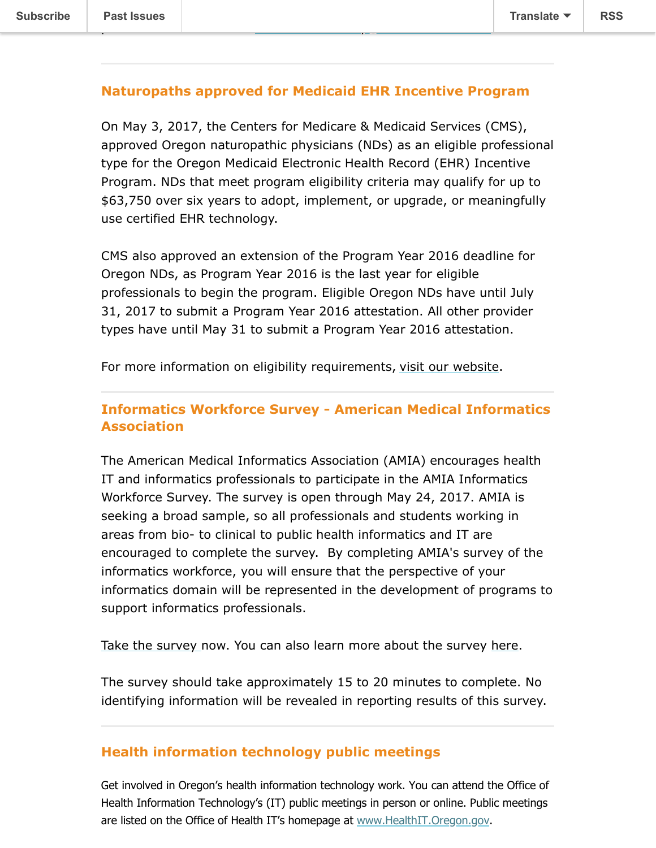#### **Naturopaths approved for Medicaid EHR Incentive Program**

please send an e-mail to [OHABH.HITSurvey@dhsoha.state.or.us](mailto:OHABH.HITSurvey@dhsoha.state.or.us).

On May 3, 2017, the Centers for Medicare & Medicaid Services (CMS), approved Oregon naturopathic physicians (NDs) as an eligible professional type for the Oregon Medicaid Electronic Health Record (EHR) Incentive Program. NDs that meet program eligibility criteria may qualify for up to \$63,750 over six years to adopt, implement, or upgrade, or meaningfully use certified EHR technology.

CMS also approved an extension of the Program Year 2016 deadline for Oregon NDs, as Program Year 2016 is the last year for eligible professionals to begin the program. Eligible Oregon NDs have until July 31, 2017 to submit a Program Year 2016 attestation. All other provider types have until May 31 to submit a Program Year 2016 attestation.

For more information on eligibility requirements, [visit our website.](http://www.oregon.gov/oha/MHIT/pages/provider/eligibility.aspx)

### **Informatics Workforce Survey - American Medical Informatics Association**

The American Medical Informatics Association (AMIA) encourages health IT and informatics professionals to participate in the AMIA Informatics Workforce Survey. The survey is open through May 24, 2017. AMIA is seeking a broad sample, so all professionals and students working in areas from bio- to clinical to public health informatics and IT are encouraged to complete the survey. By completing AMIA's survey of the informatics workforce, you will ensure that the perspective of your informatics domain will be represented in the development of programs to support informatics professionals.

[Take the survey](https://www.surveymonkey.com/r/B2FTRFD) [n](https://www.surveymonkey.com/r/B2FTRFD)ow. You can also learn more about the survey [here.](https://www.amia.org/ahic/survey)

The survey should take approximately 15 to 20 minutes to complete. No identifying information will be revealed in reporting results of this survey.

#### **Health information technology public meetings**

Get involved in Oregon's health information technology work. You can attend the Office of Health Information Technology's (IT) public meetings in person or online. Public meetings are listed on the Office of Health IT's homepage at [www.HealthIT.Oregon.gov.](http://www.healthit.oregon.gov/)